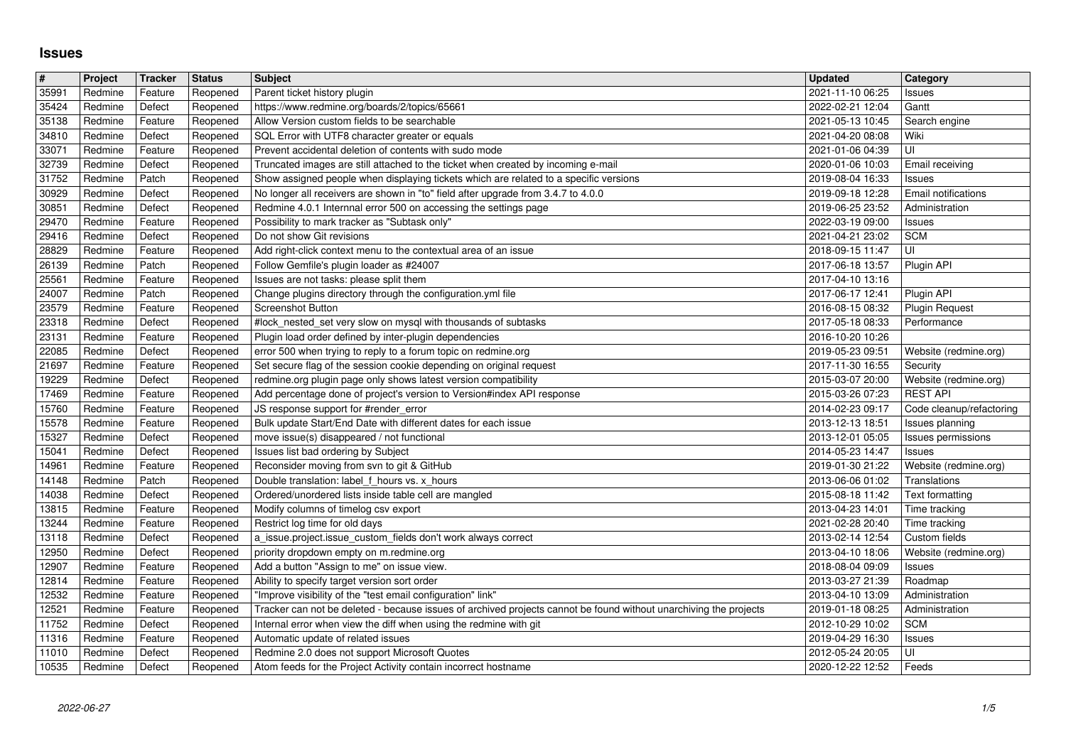## **Issues**

| $\overline{\#}$ | Project            | Tracker           | <b>Status</b>        | <b>Subject</b>                                                                                                                              | <b>Updated</b>                       | <b>Category</b>           |
|-----------------|--------------------|-------------------|----------------------|---------------------------------------------------------------------------------------------------------------------------------------------|--------------------------------------|---------------------------|
| 35991           | Redmine            | Feature           | Reopened             | Parent ticket history plugin                                                                                                                | 2021-11-10 06:25                     | Issues                    |
| 35424           | Redmine            | Defect            | Reopened             | https://www.redmine.org/boards/2/topics/65661                                                                                               | 2022-02-21 12:04                     | Gantt                     |
| 35138           | Redmine            | Feature           | Reopened             | Allow Version custom fields to be searchable                                                                                                | 2021-05-13 10:45                     | Search engine             |
| 34810           | Redmine            | Defect            | Reopened             | SQL Error with UTF8 character greater or equals                                                                                             | 2021-04-20 08:08                     | Wiki                      |
| 33071           | Redmine<br>Redmine | Feature<br>Defect | Reopened             | Prevent accidental deletion of contents with sudo mode<br>Truncated images are still attached to the ticket when created by incoming e-mail | 2021-01-06 04:39<br>2020-01-06 10:03 | l UI<br>Email receiving   |
| 32739<br>31752  | Redmine            | Patch             | Reopened<br>Reopened | Show assigned people when displaying tickets which are related to a specific versions                                                       | 2019-08-04 16:33                     | Issues                    |
| 30929           | Redmine            | Defect            | Reopened             | No longer all receivers are shown in "to" field after upgrade from 3.4.7 to 4.0.0                                                           | 2019-09-18 12:28                     | Email notifications       |
| 30851           | Redmine            | Defect            | Reopened             | Redmine 4.0.1 Internnal error 500 on accessing the settings page                                                                            | 2019-06-25 23:52                     | Administration            |
| 29470           | Redmine            | Feature           | Reopened             | Possibility to mark tracker as "Subtask only"                                                                                               | 2022-03-19 09:00                     | Issues                    |
| 29416           | Redmine            | Defect            | Reopened             | Do not show Git revisions                                                                                                                   | 2021-04-21 23:02                     | <b>SCM</b>                |
| 28829           | Redmine            | Feature           | Reopened             | Add right-click context menu to the contextual area of an issue                                                                             | 2018-09-15 11:47                     | l UI                      |
| 26139           | Redmine            | Patch             | Reopened             | Follow Gemfile's plugin loader as #24007                                                                                                    | 2017-06-18 13:57                     | Plugin API                |
| 25561           | Redmine            | Feature           | Reopened             | Issues are not tasks: please split them                                                                                                     | 2017-04-10 13:16                     |                           |
| 24007           | Redmine            | Patch             | Reopened             | Change plugins directory through the configuration.yml file                                                                                 | 2017-06-17 12:41                     | Plugin API                |
| 23579           | Redmine            | Feature           | Reopened             | <b>Screenshot Button</b>                                                                                                                    | 2016-08-15 08:32                     | <b>Plugin Request</b>     |
| 23318           | Redmine            | Defect            | Reopened             | #lock_nested_set very slow on mysql with thousands of subtasks                                                                              | 2017-05-18 08:33<br>2016-10-20 10:26 | Performance               |
| 23131<br>22085  | Redmine<br>Redmine | Feature<br>Defect | Reopened<br>Reopened | Plugin load order defined by inter-plugin dependencies<br>error 500 when trying to reply to a forum topic on redmine.org                    | 2019-05-23 09:51                     | Website (redmine.org)     |
| 21697           | Redmine            | Feature           | Reopened             | Set secure flag of the session cookie depending on original request                                                                         | 2017-11-30 16:55                     | Security                  |
| 19229           | Redmine            | Defect            | Reopened             | redmine.org plugin page only shows latest version compatibility                                                                             | 2015-03-07 20:00                     | Website (redmine.org)     |
| 17469           | Redmine            | Feature           | Reopened             | Add percentage done of project's version to Version#index API response                                                                      | 2015-03-26 07:23                     | <b>REST API</b>           |
| 15760           | Redmine            | Feature           | Reopened             | JS response support for #render_error                                                                                                       | 2014-02-23 09:17                     | Code cleanup/refactoring  |
| 15578           | Redmine            | Feature           | Reopened             | Bulk update Start/End Date with different dates for each issue                                                                              | 2013-12-13 18:51                     | Issues planning           |
| 15327           | Redmine            | Defect            | Reopened             | move issue(s) disappeared / not functional                                                                                                  | 2013-12-01 05:05                     | <b>Issues permissions</b> |
| 15041           | Redmine            | Defect            | Reopened             | Issues list bad ordering by Subject                                                                                                         | 2014-05-23 14:47                     | Issues                    |
| 14961           | Redmine            | Feature           | Reopened             | Reconsider moving from svn to git & GitHub                                                                                                  | 2019-01-30 21:22                     | Website (redmine.org)     |
| 14148           | Redmine            | Patch             | Reopened             | Double translation: label f_hours vs. x_hours                                                                                               | 2013-06-06 01:02                     | Translations              |
| 14038           | Redmine            | Defect            | Reopened             | Ordered/unordered lists inside table cell are mangled                                                                                       | 2015-08-18 11:42                     | Text formatting           |
| 13815           | Redmine            | Feature           | Reopened             | Modify columns of timelog csv export                                                                                                        | 2013-04-23 14:01                     | Time tracking             |
| 13244           | Redmine            | Feature           | Reopened             | Restrict log time for old days                                                                                                              | 2021-02-28 20:40                     | Time tracking             |
| 13118           | Redmine            | Defect            | Reopened             | a_issue.project.issue_custom_fields don't work always correct                                                                               | 2013-02-14 12:54                     | Custom fields             |
| 12950           | Redmine            | Defect            | Reopened             | priority dropdown empty on m.redmine.org                                                                                                    | 2013-04-10 18:06                     | Website (redmine.org)     |
| 12907           | Redmine            | Feature           | Reopened             | Add a button "Assign to me" on issue view.                                                                                                  | 2018-08-04 09:09                     | Issues                    |
| 12814           | Redmine            | Feature           | Reopened             | Ability to specify target version sort order                                                                                                | 2013-03-27 21:39                     | Roadmap                   |
| 12532           | Redmine            | Feature           | Reopened             | "Improve visibility of the "test email configuration" link"                                                                                 | 2013-04-10 13:09                     | Administration            |
| 12521           | Redmine            | Feature           | Reopened             | Tracker can not be deleted - because issues of archived projects cannot be found without unarchiving the projects                           | 2019-01-18 08:25                     | Administration            |
| 11752           | Redmine            | Defect            | Reopened             | Internal error when view the diff when using the redmine with git                                                                           | 2012-10-29 10:02                     | <b>SCM</b>                |
| 11316           | Redmine            | Feature           | Reopened             | Automatic update of related issues                                                                                                          | 2019-04-29 16:30                     | Issues                    |
| 11010<br>10535  | Redmine<br>Redmine | Defect<br>Defect  | Reopened<br>Reopened | Redmine 2.0 does not support Microsoft Quotes<br>Atom feeds for the Project Activity contain incorrect hostname                             | 2012-05-24 20:05<br>2020-12-22 12:52 | ΙUΙ<br>Feeds              |
|                 | 2022-06-27         |                   |                      |                                                                                                                                             |                                      |                           |
|                 |                    |                   |                      |                                                                                                                                             |                                      |                           |
|                 |                    |                   |                      |                                                                                                                                             |                                      |                           |
|                 |                    |                   |                      |                                                                                                                                             |                                      |                           |
|                 |                    |                   |                      |                                                                                                                                             |                                      |                           |
|                 |                    |                   |                      |                                                                                                                                             |                                      |                           |
|                 |                    |                   |                      |                                                                                                                                             |                                      |                           |
|                 |                    |                   |                      |                                                                                                                                             |                                      |                           |
|                 |                    |                   |                      |                                                                                                                                             |                                      |                           |
|                 |                    |                   |                      |                                                                                                                                             |                                      |                           |
|                 |                    |                   |                      |                                                                                                                                             |                                      |                           |
|                 |                    |                   |                      |                                                                                                                                             |                                      |                           |
|                 |                    |                   |                      |                                                                                                                                             |                                      |                           |
|                 |                    |                   |                      |                                                                                                                                             |                                      |                           |
|                 |                    |                   |                      |                                                                                                                                             |                                      |                           |
|                 |                    |                   |                      |                                                                                                                                             |                                      |                           |
|                 |                    |                   |                      |                                                                                                                                             |                                      |                           |
|                 |                    |                   |                      |                                                                                                                                             |                                      |                           |
|                 |                    |                   |                      |                                                                                                                                             |                                      |                           |
|                 |                    |                   |                      |                                                                                                                                             |                                      |                           |
|                 |                    |                   |                      |                                                                                                                                             |                                      |                           |
|                 |                    |                   |                      |                                                                                                                                             |                                      |                           |
|                 |                    |                   |                      |                                                                                                                                             |                                      |                           |
|                 |                    |                   |                      |                                                                                                                                             |                                      |                           |
|                 |                    |                   |                      |                                                                                                                                             |                                      |                           |
|                 |                    |                   |                      |                                                                                                                                             |                                      |                           |
|                 |                    |                   |                      |                                                                                                                                             |                                      |                           |
|                 |                    |                   |                      |                                                                                                                                             |                                      |                           |
|                 |                    |                   |                      |                                                                                                                                             |                                      |                           |
|                 |                    |                   |                      |                                                                                                                                             |                                      |                           |
|                 |                    |                   |                      |                                                                                                                                             |                                      |                           |
|                 |                    |                   |                      |                                                                                                                                             |                                      |                           |
|                 |                    |                   |                      |                                                                                                                                             |                                      |                           |
|                 |                    |                   |                      |                                                                                                                                             |                                      |                           |
|                 |                    |                   |                      |                                                                                                                                             |                                      |                           |
|                 |                    |                   |                      |                                                                                                                                             |                                      |                           |
|                 |                    |                   |                      |                                                                                                                                             |                                      |                           |
|                 |                    |                   |                      |                                                                                                                                             |                                      |                           |
|                 |                    |                   |                      |                                                                                                                                             |                                      |                           |
|                 |                    |                   |                      |                                                                                                                                             |                                      |                           |
|                 |                    |                   |                      |                                                                                                                                             |                                      |                           |
|                 |                    |                   |                      |                                                                                                                                             |                                      |                           |
|                 |                    |                   |                      |                                                                                                                                             |                                      |                           |
|                 |                    |                   |                      |                                                                                                                                             |                                      |                           |
|                 |                    |                   |                      |                                                                                                                                             |                                      |                           |
|                 |                    |                   |                      |                                                                                                                                             |                                      |                           |
|                 |                    |                   |                      |                                                                                                                                             |                                      |                           |
|                 |                    |                   |                      |                                                                                                                                             |                                      |                           |
|                 |                    |                   |                      |                                                                                                                                             |                                      |                           |
|                 |                    |                   |                      |                                                                                                                                             |                                      |                           |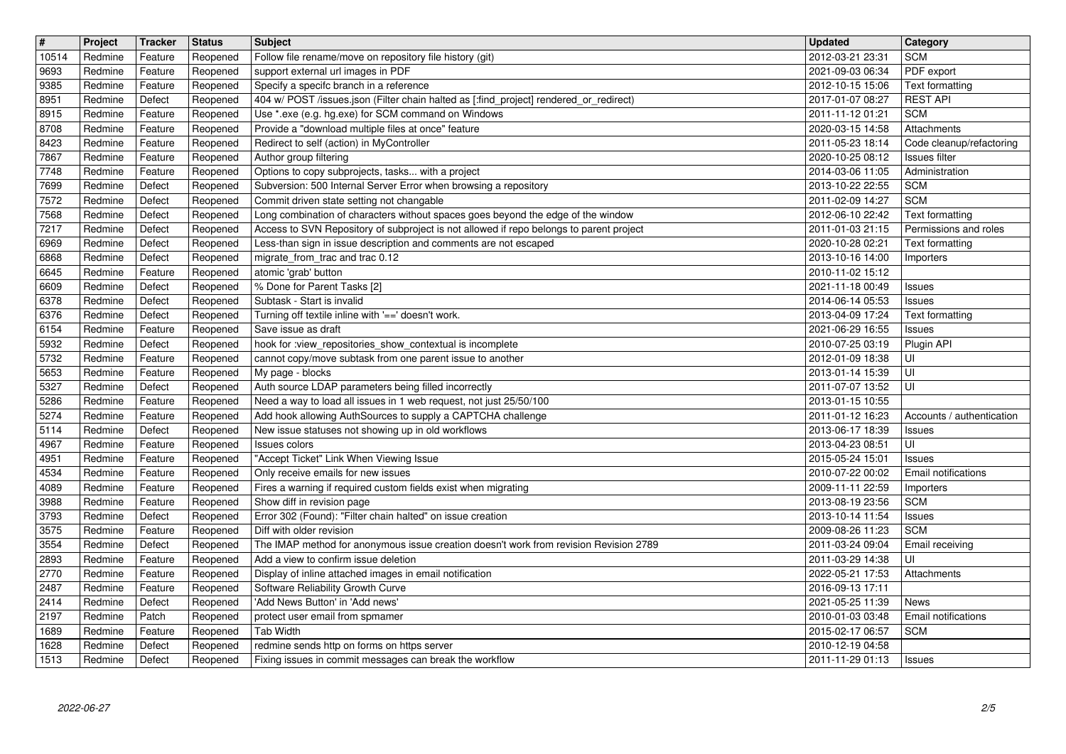| $\boxed{\texttt{#}}$            | Project            | Tracker            | <b>Status</b>        | <b>Subject</b>                                                                                                                                              | <b>Updated</b>                            | <b>Category</b>                           |
|---------------------------------|--------------------|--------------------|----------------------|-------------------------------------------------------------------------------------------------------------------------------------------------------------|-------------------------------------------|-------------------------------------------|
| 10514                           | Redmine            | Feature            | Reopened             | Follow file rename/move on repository file history (git)                                                                                                    | 2012-03-21 23:31                          | <b>SCM</b>                                |
| 9693<br>9385                    | Redmine<br>Redmine | Feature<br>Feature | Reopened<br>Reopened | support external url images in PDF<br>Specify a specifc branch in a reference                                                                               | 2021-09-03 06:34<br>2012-10-15 15:06      | PDF export<br>Text formatting             |
| 8951                            | Redmine            | Defect             | Reopened             | 404 w/ POST /issues.json (Filter chain halted as [:find_project] rendered_or_redirect)                                                                      | 2017-01-07 08:27                          | <b>REST API</b>                           |
| 8915                            | Redmine            | Feature            | Reopened             | Use *.exe (e.g. hg.exe) for SCM command on Windows                                                                                                          | 2011-11-12 01:21                          | <b>SCM</b>                                |
| 8708                            | Redmine            | Feature            | Reopened             | Provide a "download multiple files at once" feature                                                                                                         | 2020-03-15 14:58                          | Attachments                               |
| 8423<br>7867                    | Redmine<br>Redmine | Feature<br>Feature | Reopened<br>Reopened | Redirect to self (action) in MyController<br>Author group filtering                                                                                         | 2011-05-23 18:14<br>2020-10-25 08:12      | Code cleanup/refactoring<br>Issues filter |
| 7748                            | Redmine            | Feature            | Reopened             | Options to copy subprojects, tasks with a project                                                                                                           | 2014-03-06 11:05                          | Administration                            |
| 7699                            | Redmine            | Defect             | Reopened             | Subversion: 500 Internal Server Error when browsing a repository                                                                                            | 2013-10-22 22:55                          | <b>SCM</b>                                |
| 7572                            | Redmine            | Defect             | Reopened             | Commit driven state setting not changable                                                                                                                   | 2011-02-09 14:27                          | <b>SCM</b>                                |
| 7568                            | Redmine            | Defect             | Reopened             | Long combination of characters without spaces goes beyond the edge of the window                                                                            | 2012-06-10 22:42                          | Text formatting                           |
| 7217<br>6969                    | Redmine<br>Redmine | Defect<br>Defect   | Reopened<br>Reopened | Access to SVN Repository of subproject is not allowed if repo belongs to parent project<br>Less-than sign in issue description and comments are not escaped | 2011-01-03 21:15<br>2020-10-28 02:21      | Permissions and roles<br>Text formatting  |
| 6868                            | Redmine            | Defect             | Reopened             | migrate_from_trac and trac 0.12                                                                                                                             | 2013-10-16 14:00                          | Importers                                 |
| 6645                            | Redmine            | Feature            | Reopened             | atomic 'grab' button                                                                                                                                        | 2010-11-02 15:12                          |                                           |
| 6609                            | Redmine            | Defect             | Reopened             | % Done for Parent Tasks [2]                                                                                                                                 | 2021-11-18 00:49                          | Issues                                    |
| 6378                            | Redmine            | Defect             | Reopened             | Subtask - Start is invalid                                                                                                                                  | 2014-06-14 05:53                          | Issues                                    |
| 6376<br>6154                    | Redmine<br>Redmine | Defect<br>Feature  | Reopened<br>Reopened | Turning off textile inline with '==' doesn't work.<br>Save issue as draft                                                                                   | 2013-04-09 17:24<br>2021-06-29 16:55      | Text formatting<br>Issues                 |
| 5932                            | Redmine            | Defect             | Reopened             | hook for :view_repositories_show_contextual is incomplete                                                                                                   | 2010-07-25 03:19                          | Plugin API                                |
| 5732                            | Redmine            | Feature            | Reopened             | cannot copy/move subtask from one parent issue to another                                                                                                   | 2012-01-09 18:38                          | UI                                        |
| 5653                            | Redmine            | Feature            | Reopened             | My page - blocks                                                                                                                                            | 2013-01-14 15:39                          | l UI                                      |
| 5327                            | Redmine            | Defect             | Reopened             | Auth source LDAP parameters being filled incorrectly                                                                                                        | 2011-07-07 13:52                          | l UI                                      |
| 5286<br>5274                    | Redmine<br>Redmine | Feature<br>Feature | Reopened<br>Reopened | Need a way to load all issues in 1 web request, not just 25/50/100<br>Add hook allowing AuthSources to supply a CAPTCHA challenge                           | 2013-01-15 10:55<br>2011-01-12 16:23      | Accounts / authentication                 |
| 5114                            | Redmine            | Defect             | Reopened             | New issue statuses not showing up in old workflows                                                                                                          | 2013-06-17 18:39                          | Issues                                    |
| 4967                            | Redmine            | Feature            | Reopened             | Issues colors                                                                                                                                               | 2013-04-23 08:51                          | UI                                        |
| 4951                            | Redmine            | Feature            | Reopened             | "Accept Ticket" Link When Viewing Issue                                                                                                                     | 2015-05-24 15:01                          | Issues                                    |
| 4534                            | Redmine            | Feature            | Reopened             | Only receive emails for new issues                                                                                                                          | 2010-07-22 00:02                          | Email notifications                       |
| 4089                            | Redmine            | Feature            | Reopened             | Fires a warning if required custom fields exist when migrating                                                                                              | 2009-11-11 22:59                          | Importers                                 |
| 3988<br>3793                    | Redmine<br>Redmine | Feature<br>Defect  | Reopened<br>Reopened | Show diff in revision page<br>Error 302 (Found): "Filter chain halted" on issue creation                                                                    | 2013-08-19 23:56<br>2013-10-14 11:54      | <b>SCM</b><br>Issues                      |
| 3575                            | Redmine            | Feature            | Reopened             | Diff with older revision                                                                                                                                    | 2009-08-26 11:23                          | <b>SCM</b>                                |
| 3554                            | Redmine            | Defect             | Reopened             | The IMAP method for anonymous issue creation doesn't work from revision Revision 2789                                                                       | 2011-03-24 09:04                          | Email receiving                           |
| 2893                            | Redmine            | Feature            | Reopened             | Add a view to confirm issue deletion                                                                                                                        | 2011-03-29 14:38                          | UI                                        |
| 2770                            | Redmine            | Feature            | Reopened             | Display of inline attached images in email notification                                                                                                     | 2022-05-21 17:53                          | Attachments                               |
| $\sqrt{2487}$<br>$\boxed{2414}$ | Redmine<br>Redmine | Feature<br>Defect  | Reopened             | Software Reliability Growth Curve<br>Reopened   'Add News Button' in 'Add news'                                                                             | 2016-09-13 17:11<br>2021-05-25 11:39 News |                                           |
| 2197                            | Redmine            | Patch              | Reopened             | protect user email from spmamer                                                                                                                             | 2010-01-03 03:48                          | Email notifications                       |
| 1689                            | Redmine            | Feature            | Reopened             | <b>Tab Width</b>                                                                                                                                            | 2015-02-17 06:57                          | <b>SCM</b>                                |
| 1628                            | Redmine            | Defect             | Reopened             | redmine sends http on forms on https server<br>Fixing issues in commit messages can break the workflow                                                      | 2010-12-19 04:58                          |                                           |
|                                 |                    |                    |                      |                                                                                                                                                             |                                           |                                           |
|                                 |                    |                    |                      |                                                                                                                                                             |                                           |                                           |
|                                 |                    |                    |                      |                                                                                                                                                             |                                           |                                           |
|                                 |                    |                    |                      |                                                                                                                                                             |                                           |                                           |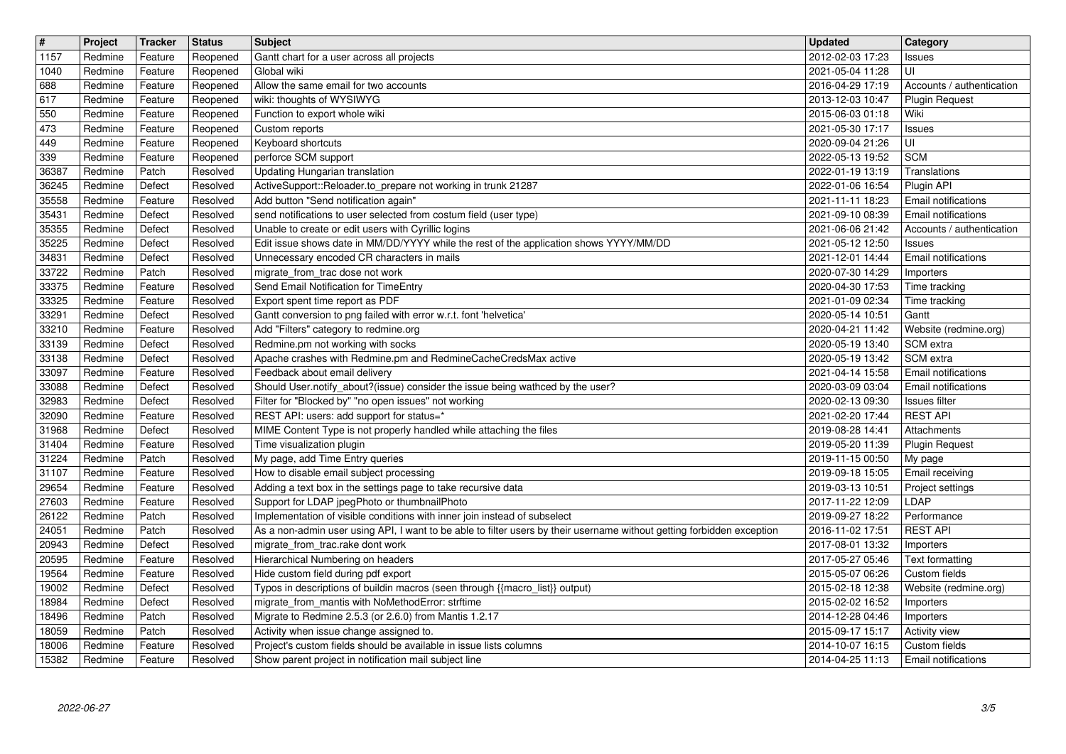| $\overline{\#}$<br>$\boxed{1157}$ | Project<br>Redmine | Tracker<br>Feature | <b>Status</b><br>Reopened | <b>Subject</b><br>Gantt chart for a user across all projects                                                                                               | <b>Updated</b><br>2012-02-03 17:23   | <b>Category</b><br>Issues                          |
|-----------------------------------|--------------------|--------------------|---------------------------|------------------------------------------------------------------------------------------------------------------------------------------------------------|--------------------------------------|----------------------------------------------------|
| 1040                              | Redmine            | Feature            | Reopened                  | Global wiki                                                                                                                                                | 2021-05-04 11:28                     | UI                                                 |
| 688<br>617                        | Redmine<br>Redmine | Feature<br>Feature | Reopened<br>Reopened      | Allow the same email for two accounts<br>wiki: thoughts of WYSIWYG                                                                                         | 2016-04-29 17:19<br>2013-12-03 10:47 | Accounts / authentication<br><b>Plugin Request</b> |
| 550                               | Redmine            | Feature            | Reopened                  | Function to export whole wiki                                                                                                                              | 2015-06-03 01:18                     | Wiki                                               |
| 473<br>449                        | Redmine<br>Redmine | Feature<br>Feature | Reopened<br>Reopened      | Custom reports<br>Keyboard shortcuts                                                                                                                       | 2021-05-30 17:17<br>2020-09-04 21:26 | Issues<br>UI                                       |
| 339<br>36387                      | Redmine<br>Redmine | Feature<br>Patch   | Reopened<br>Resolved      | perforce SCM support<br>Updating Hungarian translation                                                                                                     | 2022-05-13 19:52<br>2022-01-19 13:19 | <b>SCM</b><br>Translations                         |
| 36245                             | Redmine            | Defect             | Resolved                  | ActiveSupport::Reloader.to_prepare not working in trunk 21287                                                                                              | 2022-01-06 16:54                     | Plugin API                                         |
| 35558<br>35431                    | Redmine<br>Redmine | Feature<br>Defect  | Resolved<br>Resolved      | Add button "Send notification again"<br>send notifications to user selected from costum field (user type)                                                  | 2021-11-11 18:23<br>2021-09-10 08:39 | <b>Email notifications</b><br>Email notifications  |
| 35355<br>35225                    | Redmine<br>Redmine | Defect<br>Defect   | Resolved<br>Resolved      | Unable to create or edit users with Cyrillic logins<br>Edit issue shows date in MM/DD/YYYY while the rest of the application shows YYYY/MM/DD              | 2021-06-06 21:42<br>2021-05-12 12:50 | Accounts / authentication<br>Issues                |
| 34831                             | Redmine            | Defect             | Resolved                  | Unnecessary encoded CR characters in mails                                                                                                                 | 2021-12-01 14:44                     | Email notifications                                |
| 33722<br>33375                    | Redmine<br>Redmine | Patch<br>Feature   | Resolved<br>Resolved      | migrate_from_trac dose not work<br>Send Email Notification for TimeEntry                                                                                   | 2020-07-30 14:29<br>2020-04-30 17:53 | Importers<br>Time tracking                         |
| 33325<br>33291                    | Redmine<br>Redmine | Feature<br>Defect  | Resolved<br>Resolved      | Export spent time report as PDF<br>Gantt conversion to png failed with error w.r.t. font 'helvetica'                                                       | 2021-01-09 02:34<br>2020-05-14 10:51 | Time tracking<br>Gantt                             |
| 33210                             | Redmine            | Feature            | Resolved                  | Add "Filters" category to redmine.org                                                                                                                      | 2020-04-21 11:42                     | Website (redmine.org)                              |
| 33139<br>33138                    | Redmine<br>Redmine | Defect<br>Defect   | Resolved<br>Resolved      | Redmine.pm not working with socks<br>Apache crashes with Redmine.pm and RedmineCacheCredsMax active                                                        | 2020-05-19 13:40<br>2020-05-19 13:42 | SCM extra<br>SCM extra                             |
| 33097<br>33088                    | Redmine<br>Redmine | Feature<br>Defect  | Resolved<br>Resolved      | Feedback about email delivery<br>Should User.notify_about?(issue) consider the issue being wathced by the user?                                            | 2021-04-14 15:58<br>2020-03-09 03:04 | Email notifications<br>Email notifications         |
| 32983                             | Redmine            | Defect             | Resolved                  | Filter for "Blocked by" "no open issues" not working                                                                                                       | 2020-02-13 09:30                     | Issues filter                                      |
| 32090<br>31968                    | Redmine<br>Redmine | Feature<br>Defect  | Resolved<br>Resolved      | REST API: users: add support for status=*<br>MIME Content Type is not properly handled while attaching the files                                           | 2021-02-20 17:44<br>2019-08-28 14:41 | <b>REST API</b><br>Attachments                     |
| 31404<br>31224                    | Redmine<br>Redmine | Feature<br>Patch   | Resolved<br>Resolved      | Time visualization plugin                                                                                                                                  | 2019-05-20 11:39<br>2019-11-15 00:50 | <b>Plugin Request</b>                              |
| 31107                             | Redmine            | Feature            | Resolved                  | My page, add Time Entry queries<br>How to disable email subject processing                                                                                 | 2019-09-18 15:05                     | My page<br>Email receiving                         |
| 29654<br>27603                    | Redmine<br>Redmine | Feature<br>Feature | Resolved<br>Resolved      | Adding a text box in the settings page to take recursive data<br>Support for LDAP jpegPhoto or thumbnailPhoto                                              | 2019-03-13 10:51<br>2017-11-22 12:09 | Project settings<br>LDAP                           |
| 26122                             | Redmine            | Patch              | Resolved                  | Implementation of visible conditions with inner join instead of subselect                                                                                  | 2019-09-27 18:22                     | Performance                                        |
| 24051<br>20943                    | Redmine<br>Redmine | Patch<br>Defect    | Resolved<br>Resolved      | As a non-admin user using API, I want to be able to filter users by their username without getting forbidden exception<br>migrate_from_trac.rake dont work | 2016-11-02 17:51<br>2017-08-01 13:32 | <b>REST API</b><br>Importers                       |
| 20595<br>19564                    | Redmine<br>Redmine | Feature<br>Feature | Resolved<br>Resolved      | Hierarchical Numbering on headers<br>Hide custom field during pdf export                                                                                   | 2017-05-27 05:46<br>2015-05-07 06:26 | Text formatting<br>Custom fields                   |
| 19002                             | Redmine            | Defect             | Resolved                  | Typos in descriptions of buildin macros (seen through {{macro_list}} output)                                                                               | 2015-02-18 12:38                     | Website (redmine.org)                              |
| 18984<br>18496                    | Redmine<br>Redmine | Defect<br>Patch    | Resolved<br>Resolved      | migrate_from_mantis with NoMethodError: strftime<br>Migrate to Redmine 2.5.3 (or 2.6.0) from Mantis 1.2.17                                                 | 2015-02-02 16:52<br>2014-12-28 04:46 | Importers<br>Importers                             |
| 18059<br>18006                    | Redmine<br>Redmine | Patch<br>Feature   | Resolved<br>Resolved      | Activity when issue change assigned to.<br>Project's custom fields should be available in issue lists columns                                              | 2015-09-17 15:17<br>2014-10-07 16:15 | Activity view<br>Custom fields                     |
| 15382                             | Redmine            | Feature            | Resolved                  | Show parent project in notification mail subject line                                                                                                      | 2014-04-25 11:13                     | Email notifications                                |
|                                   |                    |                    |                           |                                                                                                                                                            |                                      |                                                    |
|                                   |                    |                    |                           |                                                                                                                                                            |                                      |                                                    |
|                                   |                    |                    |                           |                                                                                                                                                            |                                      |                                                    |
|                                   |                    |                    |                           |                                                                                                                                                            |                                      |                                                    |
|                                   |                    |                    |                           |                                                                                                                                                            |                                      |                                                    |
|                                   |                    |                    |                           |                                                                                                                                                            |                                      |                                                    |
|                                   |                    |                    |                           |                                                                                                                                                            |                                      |                                                    |
|                                   |                    |                    |                           |                                                                                                                                                            |                                      |                                                    |
|                                   |                    |                    |                           |                                                                                                                                                            |                                      |                                                    |
|                                   |                    |                    |                           |                                                                                                                                                            |                                      |                                                    |
|                                   |                    |                    |                           |                                                                                                                                                            |                                      |                                                    |
|                                   |                    |                    |                           |                                                                                                                                                            |                                      |                                                    |
|                                   |                    |                    |                           |                                                                                                                                                            |                                      |                                                    |
|                                   |                    |                    |                           |                                                                                                                                                            |                                      |                                                    |
|                                   |                    |                    |                           |                                                                                                                                                            |                                      |                                                    |
|                                   |                    |                    |                           |                                                                                                                                                            |                                      |                                                    |
|                                   |                    |                    |                           |                                                                                                                                                            |                                      |                                                    |
|                                   |                    |                    |                           |                                                                                                                                                            |                                      |                                                    |
|                                   |                    |                    |                           |                                                                                                                                                            |                                      |                                                    |
|                                   |                    |                    |                           |                                                                                                                                                            |                                      |                                                    |
|                                   |                    |                    |                           |                                                                                                                                                            |                                      |                                                    |
|                                   |                    |                    |                           |                                                                                                                                                            |                                      |                                                    |
|                                   |                    |                    |                           |                                                                                                                                                            |                                      |                                                    |
|                                   |                    |                    |                           |                                                                                                                                                            |                                      |                                                    |
|                                   |                    |                    |                           |                                                                                                                                                            |                                      |                                                    |
|                                   |                    |                    |                           |                                                                                                                                                            |                                      |                                                    |
|                                   |                    |                    |                           |                                                                                                                                                            |                                      |                                                    |
|                                   |                    |                    |                           |                                                                                                                                                            |                                      |                                                    |
|                                   |                    |                    |                           |                                                                                                                                                            |                                      |                                                    |
|                                   |                    |                    |                           |                                                                                                                                                            |                                      |                                                    |
|                                   |                    |                    |                           |                                                                                                                                                            |                                      |                                                    |
|                                   |                    |                    |                           |                                                                                                                                                            |                                      |                                                    |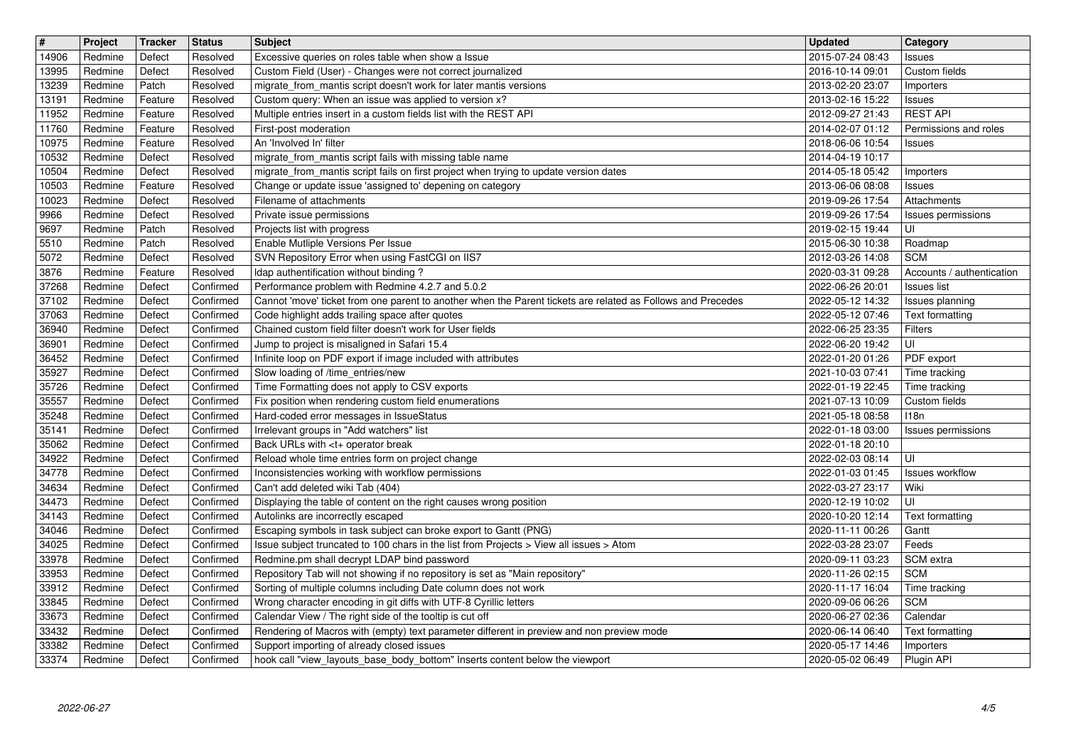| 14906          | Project            | Tracker            | <b>Status</b>          | <b>Subject</b>                                                                                                                                                            | <b>Updated</b>                       | Category                         |
|----------------|--------------------|--------------------|------------------------|---------------------------------------------------------------------------------------------------------------------------------------------------------------------------|--------------------------------------|----------------------------------|
|                | Redmine            | Defect             | Resolved               | Excessive queries on roles table when show a Issue                                                                                                                        | 2015-07-24 08:43                     | Issues                           |
| 13995          | Redmine            | Defect             | Resolved               | Custom Field (User) - Changes were not correct journalized                                                                                                                | 2016-10-14 09:01                     | Custom fields                    |
| 13239          | Redmine            | Patch              | Resolved               | migrate_from_mantis script doesn't work for later mantis versions<br>Custom query: When an issue was applied to version x?                                                | 2013-02-20 23:07                     | Importers                        |
| 13191<br>11952 | Redmine<br>Redmine | Feature<br>Feature | Resolved<br>Resolved   | Multiple entries insert in a custom fields list with the REST API                                                                                                         | 2013-02-16 15:22<br>2012-09-27 21:43 | <b>Issues</b><br><b>REST API</b> |
| 11760          | Redmine            | Feature            | Resolved               | First-post moderation                                                                                                                                                     | 2014-02-07 01:12                     | Permissions and roles            |
| 10975          | Redmine            | Feature            | Resolved               | An 'Involved In' filter                                                                                                                                                   | 2018-06-06 10:54                     | Issues                           |
| 10532          | Redmine            | Defect             | Resolved               | migrate_from_mantis script fails with missing table name                                                                                                                  | 2014-04-19 10:17                     |                                  |
| 10504          | Redmine            | Defect             | Resolved               | migrate_from_mantis script fails on first project when trying to update version dates                                                                                     | 2014-05-18 05:42                     | Importers                        |
| 10503          | Redmine            | Feature            | Resolved               | Change or update issue 'assigned to' depening on category                                                                                                                 | 2013-06-06 08:08                     | Issues                           |
| 10023          | Redmine            | Defect             | Resolved               | Filename of attachments                                                                                                                                                   | 2019-09-26 17:54                     | Attachments                      |
| 9966           | Redmine            | Defect             | Resolved               | Private issue permissions                                                                                                                                                 | 2019-09-26 17:54                     | Issues permissions               |
| 9697           | Redmine            | Patch              | Resolved               | Projects list with progress                                                                                                                                               | 2019-02-15 19:44                     | luı                              |
| 5510<br>5072   | Redmine<br>Redmine | Patch<br>Defect    | Resolved<br>Resolved   | Enable Mutliple Versions Per Issue<br>SVN Repository Error when using FastCGI on IIS7                                                                                     | 2015-06-30 10:38<br>2012-03-26 14:08 | Roadmap<br><b>SCM</b>            |
| 3876           | Redmine            | Feature            | Resolved               | Idap authentification without binding?                                                                                                                                    | 2020-03-31 09:28                     | Accounts / authentication        |
| 37268          | Redmine            | Defect             | Confirmed              | Performance problem with Redmine 4.2.7 and 5.0.2                                                                                                                          | 2022-06-26 20:01                     | Issues list                      |
| 37102          | Redmine            | Defect             | Confirmed              | Cannot 'move' ticket from one parent to another when the Parent tickets are related as Follows and Precedes                                                               | 2022-05-12 14:32                     | Issues planning                  |
| 37063          | Redmine            | Defect             | Confirmed              | Code highlight adds trailing space after quotes                                                                                                                           | 2022-05-12 07:46                     | Text formatting                  |
| 36940          | Redmine            | Defect             | Confirmed              | Chained custom field filter doesn't work for User fields                                                                                                                  | 2022-06-25 23:35                     | Filters                          |
| 36901          | Redmine            | Defect             | Confirmed              | Jump to project is misaligned in Safari 15.4                                                                                                                              | 2022-06-20 19:42                     | UI                               |
| 36452          | Redmine            | Defect             | Confirmed              | Infinite loop on PDF export if image included with attributes                                                                                                             | 2022-01-20 01:26                     | PDF export                       |
| 35927          | Redmine            | Defect             | Confirmed              | Slow loading of /time_entries/new                                                                                                                                         | 2021-10-03 07:41                     | Time tracking                    |
| 35726          | Redmine            | Defect             | Confirmed              | Time Formatting does not apply to CSV exports                                                                                                                             | 2022-01-19 22:45                     | Time tracking                    |
| 35557          | Redmine            | Defect             | Confirmed              | Fix position when rendering custom field enumerations                                                                                                                     | 2021-07-13 10:09                     | Custom fields                    |
| 35248          | Redmine            | Defect             | Confirmed              | Hard-coded error messages in IssueStatus                                                                                                                                  | 2021-05-18 08:58                     | 118n                             |
| 35141<br>35062 | Redmine<br>Redmine | Defect<br>Defect   | Confirmed<br>Confirmed | Irrelevant groups in "Add watchers" list<br>Back URLs with <t+ break<="" operator="" td=""><td>2022-01-18 03:00<br/>2022-01-18 20:10</td><td>Issues permissions</td></t+> | 2022-01-18 03:00<br>2022-01-18 20:10 | Issues permissions               |
| 34922          | Redmine            | Defect             | Confirmed              | Reload whole time entries form on project change                                                                                                                          | 2022-02-03 08:14                     | UI                               |
| 34778          | Redmine            | Defect             | Confirmed              | Inconsistencies working with workflow permissions                                                                                                                         | 2022-01-03 01:45                     | Issues workflow                  |
| 34634          | Redmine            | Defect             | Confirmed              | Can't add deleted wiki Tab (404)                                                                                                                                          | 2022-03-27 23:17                     | Wiki                             |
| 34473          | Redmine            | Defect             | Confirmed              | Displaying the table of content on the right causes wrong position                                                                                                        | 2020-12-19 10:02                     | l UI                             |
| 34143          | Redmine            | Defect             | Confirmed              | Autolinks are incorrectly escaped                                                                                                                                         | 2020-10-20 12:14                     | Text formatting                  |
| 34046          | Redmine            | Defect             | Confirmed              | Escaping symbols in task subject can broke export to Gantt (PNG)                                                                                                          | 2020-11-11 00:26                     | Gantt                            |
| 34025          | Redmine            | Defect             | Confirmed              | Issue subject truncated to 100 chars in the list from Projects > View all issues > Atom                                                                                   | 2022-03-28 23:07                     | Feeds                            |
| 33978          | Redmine            | Defect             | Confirmed              | Redmine.pm shall decrypt LDAP bind password                                                                                                                               | 2020-09-11 03:23                     | SCM extra                        |
| 33953          | Redmine            | Defect             | Confirmed              | Repository Tab will not showing if no repository is set as "Main repository"                                                                                              | 2020-11-26 02:15                     | <b>SCM</b>                       |
| 33912          | Redmine            | Defect             | Confirmed              | Sorting of multiple columns including Date column does not work                                                                                                           | 2020-11-17 16:04                     | Time tracking                    |
| 33845          | Redmine            | Defect             | Confirmed              | Wrong character encoding in git diffs with UTF-8 Cyrillic letters                                                                                                         | 2020-09-06 06:26                     | <b>SCM</b>                       |
| 33673<br>33432 | Redmine<br>Redmine | Defect             | Confirmed<br>Confirmed | Calendar View / The right side of the tooltip is cut off<br>Rendering of Macros with (empty) text parameter different in preview and non preview mode                     | 2020-06-27 02:36                     | Calendar                         |
| 33382          | Redmine            | Defect<br>Defect   | Confirmed              | Support importing of already closed issues                                                                                                                                | 2020-06-14 06:40<br>2020-05-17 14:46 | Text formatting<br>Importers     |
| 33374          | Redmine            | Defect             | Confirmed              | hook call "view_layouts_base_body_bottom" Inserts content below the viewport                                                                                              | 2020-05-02 06:49                     | Plugin API                       |
|                |                    |                    |                        |                                                                                                                                                                           |                                      |                                  |
|                |                    |                    |                        |                                                                                                                                                                           |                                      |                                  |
|                |                    |                    |                        |                                                                                                                                                                           |                                      |                                  |
|                |                    |                    |                        |                                                                                                                                                                           |                                      |                                  |
|                |                    |                    |                        |                                                                                                                                                                           |                                      |                                  |
|                |                    |                    |                        |                                                                                                                                                                           |                                      |                                  |
|                |                    |                    |                        |                                                                                                                                                                           |                                      |                                  |
|                |                    |                    |                        |                                                                                                                                                                           |                                      |                                  |
|                |                    |                    |                        |                                                                                                                                                                           |                                      |                                  |
|                |                    |                    |                        |                                                                                                                                                                           |                                      |                                  |
|                |                    |                    |                        |                                                                                                                                                                           |                                      |                                  |
|                |                    |                    |                        |                                                                                                                                                                           |                                      |                                  |
|                |                    |                    |                        |                                                                                                                                                                           |                                      |                                  |
|                |                    |                    |                        |                                                                                                                                                                           |                                      |                                  |
|                |                    |                    |                        |                                                                                                                                                                           |                                      |                                  |
|                |                    |                    |                        |                                                                                                                                                                           |                                      |                                  |
|                |                    |                    |                        |                                                                                                                                                                           |                                      |                                  |
|                |                    |                    |                        |                                                                                                                                                                           |                                      |                                  |
|                |                    |                    |                        |                                                                                                                                                                           |                                      |                                  |
|                |                    |                    |                        |                                                                                                                                                                           |                                      |                                  |
|                |                    |                    |                        |                                                                                                                                                                           |                                      |                                  |
|                |                    |                    |                        |                                                                                                                                                                           |                                      |                                  |
|                |                    |                    |                        |                                                                                                                                                                           |                                      |                                  |
|                |                    |                    |                        |                                                                                                                                                                           |                                      |                                  |
|                |                    |                    |                        |                                                                                                                                                                           |                                      |                                  |
|                |                    |                    |                        |                                                                                                                                                                           |                                      |                                  |
|                |                    |                    |                        |                                                                                                                                                                           |                                      |                                  |
|                |                    |                    |                        |                                                                                                                                                                           |                                      |                                  |
|                |                    |                    |                        |                                                                                                                                                                           |                                      |                                  |
|                |                    |                    |                        |                                                                                                                                                                           |                                      |                                  |
|                |                    |                    |                        |                                                                                                                                                                           |                                      |                                  |
|                |                    |                    |                        |                                                                                                                                                                           |                                      |                                  |
|                |                    |                    |                        |                                                                                                                                                                           |                                      |                                  |
|                |                    |                    |                        |                                                                                                                                                                           |                                      |                                  |
|                |                    |                    |                        |                                                                                                                                                                           |                                      |                                  |
|                |                    |                    |                        |                                                                                                                                                                           |                                      |                                  |
|                |                    |                    |                        |                                                                                                                                                                           |                                      |                                  |
|                |                    |                    |                        |                                                                                                                                                                           |                                      |                                  |
|                |                    |                    |                        |                                                                                                                                                                           |                                      |                                  |
|                |                    |                    |                        |                                                                                                                                                                           |                                      |                                  |
|                |                    |                    |                        |                                                                                                                                                                           |                                      |                                  |
|                |                    |                    |                        |                                                                                                                                                                           |                                      |                                  |
|                |                    |                    |                        |                                                                                                                                                                           |                                      |                                  |
|                |                    |                    |                        |                                                                                                                                                                           |                                      |                                  |
|                |                    |                    |                        |                                                                                                                                                                           |                                      |                                  |
|                |                    |                    |                        |                                                                                                                                                                           |                                      |                                  |
|                |                    |                    |                        |                                                                                                                                                                           |                                      |                                  |